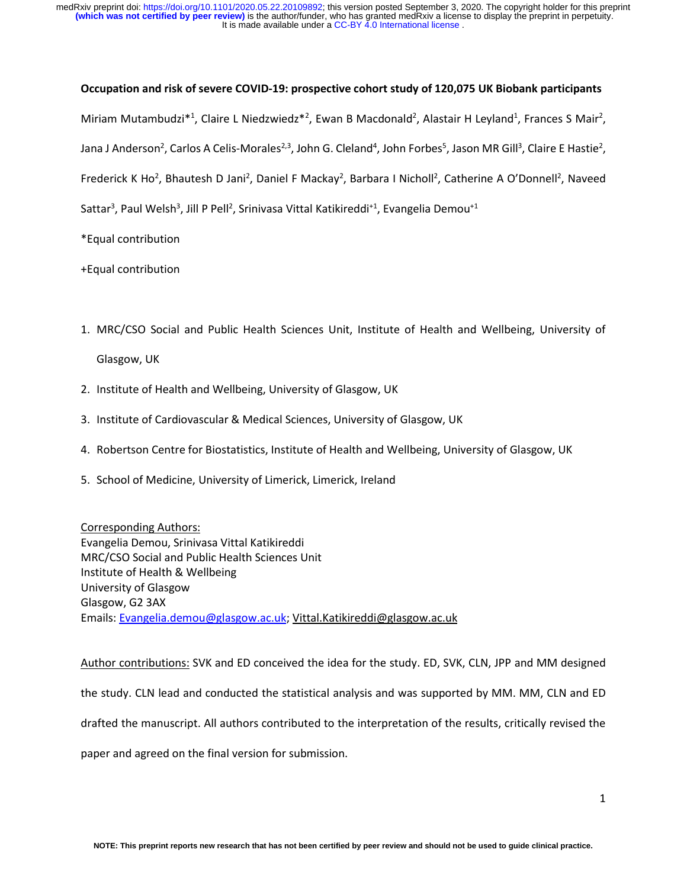It is made available under a CC-BY 4.0 International license. **(which was not certified by peer review)** is the author/funder, who has granted medRxiv a license to display the preprint in perpetuity. medRxiv preprint doi: [https://doi.org/10.1101/2020.05.22.20109892;](https://doi.org/10.1101/2020.05.22.20109892) this version posted September 3, 2020. The copyright holder for this preprint

#### **Occupation and risk of severe COVID-19: prospective cohort study of 120,075 UK Biobank participants**

Miriam Mutambudzi\*<sup>1</sup>, Claire L Niedzwiedz\*<sup>2</sup>, Ewan B Macdonald<sup>2</sup>, Alastair H Leyland<sup>1</sup>, Frances S Mair<sup>2</sup>, Jana J Anderson<sup>2</sup>, Carlos A Celis-Morales<sup>2,3</sup>, John G. Cleland<sup>4</sup>, John Forbes<sup>5</sup>, Jason MR Gill<sup>3</sup>, Claire E Hastie<sup>2</sup>, Frederick K Ho<sup>2</sup>, Bhautesh D Jani<sup>2</sup>, Daniel F Mackay<sup>2</sup>, Barbara I Nicholl<sup>2</sup>, Catherine A O'Donnell<sup>2</sup>, Naveed Sattar<sup>3</sup>, Paul Welsh<sup>3</sup>, Jill P Pell<sup>2</sup>, Srinivasa Vittal Katikireddi<sup>+1</sup>, Evangelia Demou<sup>+1</sup>

\*Equal contribution

+Equal contribution

- 1. MRC/CSO Social and Public Health Sciences Unit, Institute of Health and Wellbeing, University of Glasgow, UK
- 2. Institute of Health and Wellbeing, University of Glasgow, UK
- 3. Institute of Cardiovascular & Medical Sciences, University of Glasgow, UK
- 4. Robertson Centre for Biostatistics, Institute of Health and Wellbeing, University of Glasgow, UK
- 5. School of Medicine, University of Limerick, Limerick, Ireland

Corresponding Authors: Evangelia Demou, Srinivasa Vittal Katikireddi MRC/CSO Social and Public Health Sciences Unit Institute of Health & Wellbeing University of Glasgow Glasgow, G2 3AX Emails: [Evangelia.demou@glasgow.ac.uk;](mailto:Evangelia.demou@glasgow.ac.uk) [Vittal.Katikireddi@glasgow.ac.uk](mailto:vittal.Katikireddi@glasgow.ac.uk)

Author contributions: SVK and ED conceived the idea for the study. ED, SVK, CLN, JPP and MM designed the study. CLN lead and conducted the statistical analysis and was supported by MM. MM, CLN and ED drafted the manuscript. All authors contributed to the interpretation of the results, critically revised the paper and agreed on the final version for submission.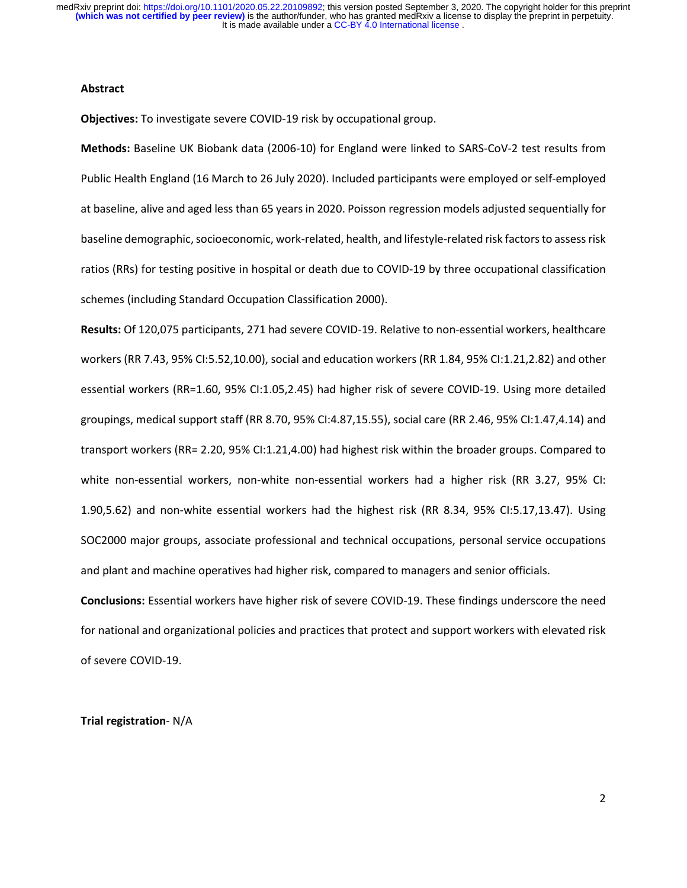## **Abstract**

**Objectives:** To investigate severe COVID-19 risk by occupational group.

**Methods:** Baseline UK Biobank data (2006-10) for England were linked to SARS-CoV-2 test results from Public Health England (16 March to 26 July 2020). Included participants were employed or self-employed at baseline, alive and aged less than 65 years in 2020. Poisson regression models adjusted sequentially for baseline demographic, socioeconomic, work-related, health, and lifestyle-related risk factors to assess risk ratios (RRs) for testing positive in hospital or death due to COVID-19 by three occupational classification schemes (including Standard Occupation Classification 2000).

**Results:** Of 120,075 participants, 271 had severe COVID-19. Relative to non-essential workers, healthcare workers (RR 7.43, 95% CI:5.52,10.00), social and education workers (RR 1.84, 95% CI:1.21,2.82) and other essential workers (RR=1.60, 95% CI:1.05,2.45) had higher risk of severe COVID-19. Using more detailed groupings, medical support staff (RR 8.70, 95% CI:4.87,15.55), social care (RR 2.46, 95% CI:1.47,4.14) and transport workers (RR= 2.20, 95% CI:1.21,4.00) had highest risk within the broader groups. Compared to white non-essential workers, non-white non-essential workers had a higher risk (RR 3.27, 95% CI: 1.90,5.62) and non-white essential workers had the highest risk (RR 8.34, 95% CI:5.17,13.47). Using SOC2000 major groups, associate professional and technical occupations, personal service occupations and plant and machine operatives had higher risk, compared to managers and senior officials.

**Conclusions:** Essential workers have higher risk of severe COVID-19. These findings underscore the need for national and organizational policies and practices that protect and support workers with elevated risk of severe COVID-19.

**Trial registration**- N/A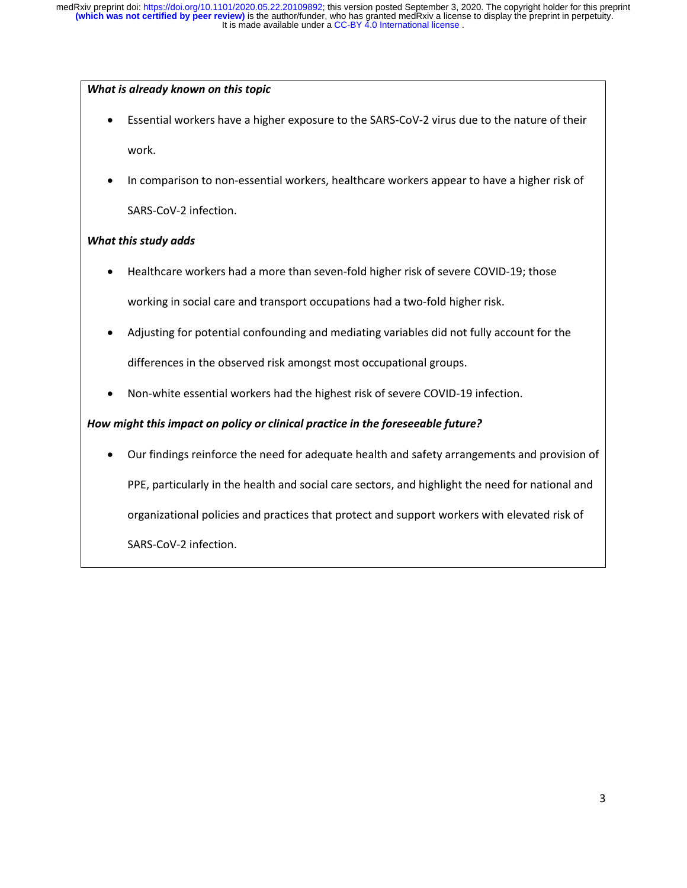# *What is already known on this topic*

- Essential workers have a higher exposure to the SARS-CoV-2 virus due to the nature of their work.
- In comparison to non-essential workers, healthcare workers appear to have a higher risk of SARS-CoV-2 infection.

# *What this study adds*

- Healthcare workers had a more than seven-fold higher risk of severe COVID-19; those working in social care and transport occupations had a two-fold higher risk.
- Adjusting for potential confounding and mediating variables did not fully account for the differences in the observed risk amongst most occupational groups.
- Non-white essential workers had the highest risk of severe COVID-19 infection.

# *How might this impact on policy or clinical practice in the foreseeable future?*

• Our findings reinforce the need for adequate health and safety arrangements and provision of PPE, particularly in the health and social care sectors, and highlight the need for national and organizational policies and practices that protect and support workers with elevated risk of SARS-CoV-2 infection.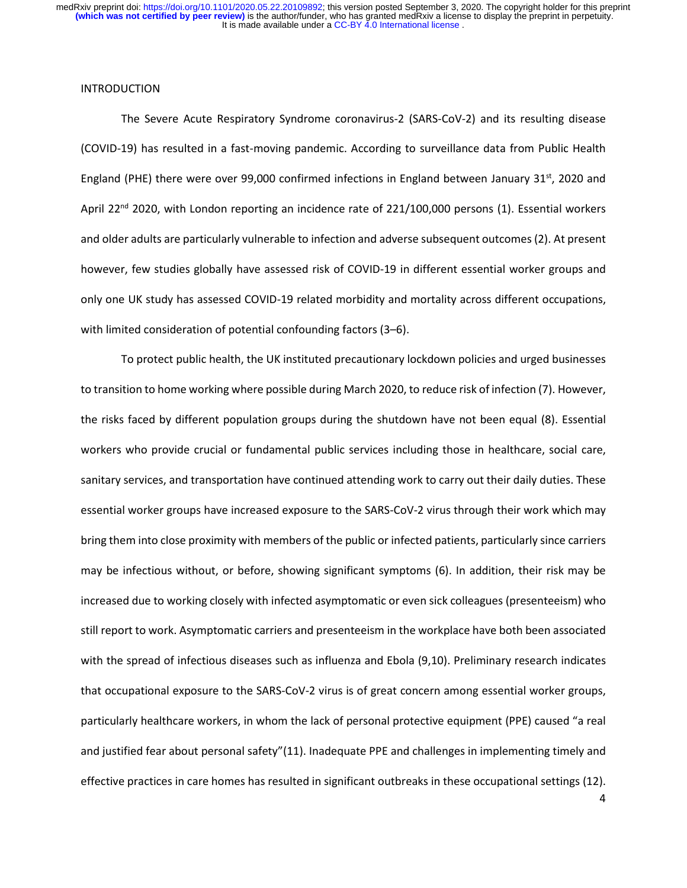## INTRODUCTION

The Severe Acute Respiratory Syndrome coronavirus-2 (SARS-CoV-2) and its resulting disease (COVID-19) has resulted in a fast-moving pandemic. According to surveillance data from Public Health England (PHE) there were over 99,000 confirmed infections in England between January  $31^{st}$ , 2020 and April 22<sup>nd</sup> 2020, with London reporting an incidence rate of 221/100,000 persons (1). Essential workers and older adults are particularly vulnerable to infection and adverse subsequent outcomes (2). At present however, few studies globally have assessed risk of COVID-19 in different essential worker groups and only one UK study has assessed COVID-19 related morbidity and mortality across different occupations, with limited consideration of potential confounding factors (3–6).

To protect public health, the UK instituted precautionary lockdown policies and urged businesses to transition to home working where possible during March 2020, to reduce risk of infection (7). However, the risks faced by different population groups during the shutdown have not been equal (8). Essential workers who provide crucial or fundamental public services including those in healthcare, social care, sanitary services, and transportation have continued attending work to carry out their daily duties. These essential worker groups have increased exposure to the SARS-CoV-2 virus through their work which may bring them into close proximity with members of the public or infected patients, particularly since carriers may be infectious without, or before, showing significant symptoms (6). In addition, their risk may be increased due to working closely with infected asymptomatic or even sick colleagues (presenteeism) who still report to work. Asymptomatic carriers and presenteeism in the workplace have both been associated with the spread of infectious diseases such as influenza and Ebola (9,10). Preliminary research indicates that occupational exposure to the SARS-CoV-2 virus is of great concern among essential worker groups, particularly healthcare workers, in whom the lack of personal protective equipment (PPE) caused "a real and justified fear about personal safety"(11). Inadequate PPE and challenges in implementing timely and effective practices in care homes has resulted in significant outbreaks in these occupational settings (12).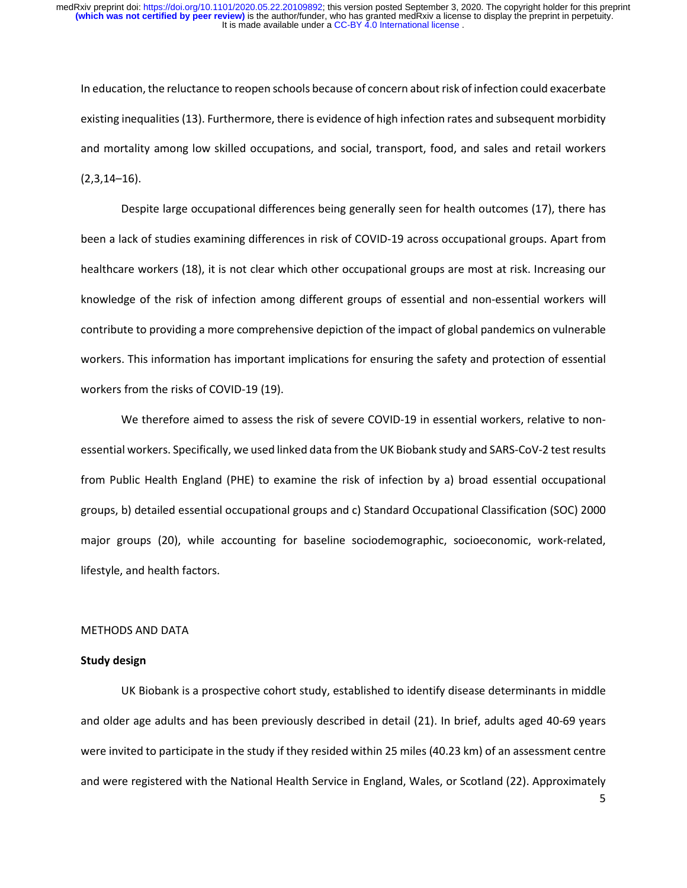In education, the reluctance to reopen schools because of concern about risk of infection could exacerbate existing inequalities (13). Furthermore, there is evidence of high infection rates and subsequent morbidity and mortality among low skilled occupations, and social, transport, food, and sales and retail workers  $(2,3,14-16)$ .

Despite large occupational differences being generally seen for health outcomes (17), there has been a lack of studies examining differences in risk of COVID-19 across occupational groups. Apart from healthcare workers (18), it is not clear which other occupational groups are most at risk. Increasing our knowledge of the risk of infection among different groups of essential and non-essential workers will contribute to providing a more comprehensive depiction of the impact of global pandemics on vulnerable workers. This information has important implications for ensuring the safety and protection of essential workers from the risks of COVID-19 (19).

We therefore aimed to assess the risk of severe COVID-19 in essential workers, relative to nonessential workers. Specifically, we used linked data from the UK Biobank study and SARS-CoV-2 test results from Public Health England (PHE) to examine the risk of infection by a) broad essential occupational groups, b) detailed essential occupational groups and c) Standard Occupational Classification (SOC) 2000 major groups (20), while accounting for baseline sociodemographic, socioeconomic, work-related, lifestyle, and health factors.

#### METHODS AND DATA

#### **Study design**

UK Biobank is a prospective cohort study, established to identify disease determinants in middle and older age adults and has been previously described in detail (21). In brief, adults aged 40-69 years were invited to participate in the study if they resided within 25 miles (40.23 km) of an assessment centre and were registered with the National Health Service in England, Wales, or Scotland (22). Approximately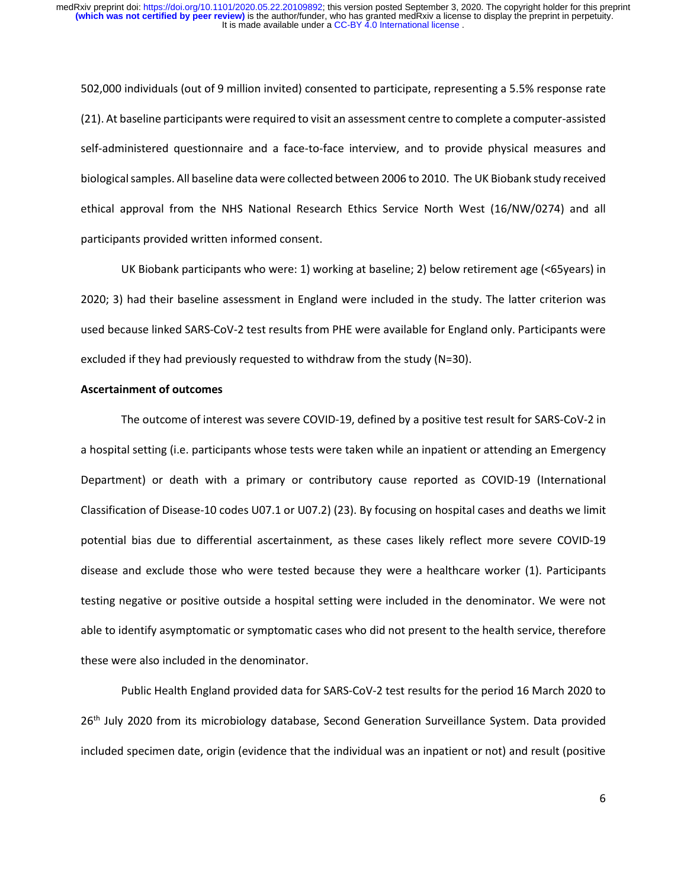502,000 individuals (out of 9 million invited) consented to participate, representing a 5.5% response rate (21). At baseline participants were required to visit an assessment centre to complete a computer-assisted self-administered questionnaire and a face-to-face interview, and to provide physical measures and biological samples. All baseline data were collected between 2006 to 2010. The UK Biobank study received ethical approval from the NHS National Research Ethics Service North West (16/NW/0274) and all participants provided written informed consent.

UK Biobank participants who were: 1) working at baseline; 2) below retirement age (<65years) in 2020; 3) had their baseline assessment in England were included in the study. The latter criterion was used because linked SARS-CoV-2 test results from PHE were available for England only. Participants were excluded if they had previously requested to withdraw from the study (N=30).

## **Ascertainment of outcomes**

The outcome of interest was severe COVID-19, defined by a positive test result for SARS-CoV-2 in a hospital setting (i.e. participants whose tests were taken while an inpatient or attending an Emergency Department) or death with a primary or contributory cause reported as COVID-19 (International Classification of Disease-10 codes U07.1 or U07.2) (23). By focusing on hospital cases and deaths we limit potential bias due to differential ascertainment, as these cases likely reflect more severe COVID-19 disease and exclude those who were tested because they were a healthcare worker (1). Participants testing negative or positive outside a hospital setting were included in the denominator. We were not able to identify asymptomatic or symptomatic cases who did not present to the health service, therefore these were also included in the denominator.

Public Health England provided data for SARS-CoV-2 test results for the period 16 March 2020 to 26<sup>th</sup> July 2020 from its microbiology database, Second Generation Surveillance System. Data provided included specimen date, origin (evidence that the individual was an inpatient or not) and result (positive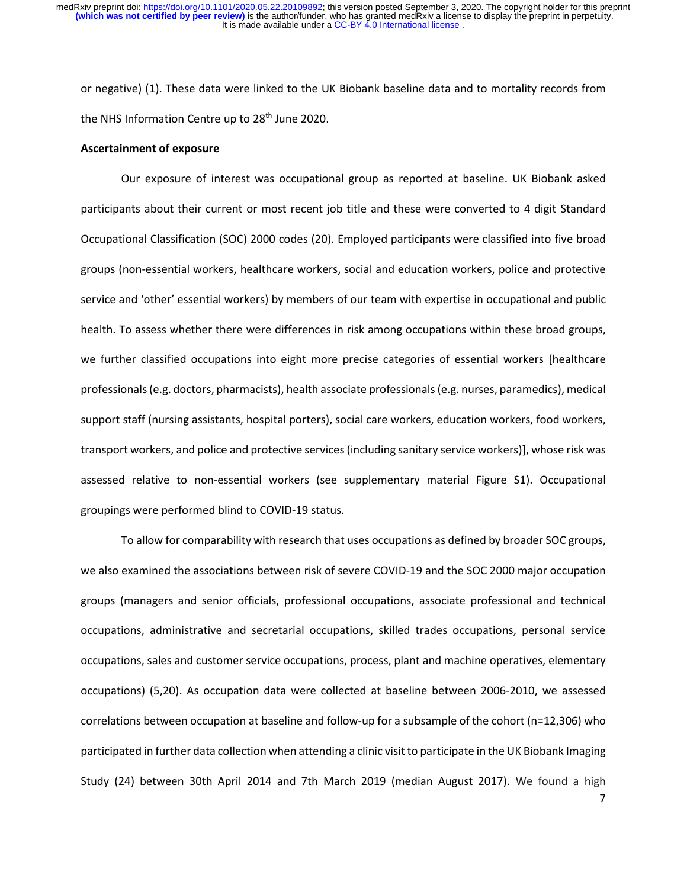or negative) (1). These data were linked to the UK Biobank baseline data and to mortality records from the NHS Information Centre up to 28<sup>th</sup> June 2020.

# **Ascertainment of exposure**

Our exposure of interest was occupational group as reported at baseline. UK Biobank asked participants about their current or most recent job title and these were converted to 4 digit Standard Occupational Classification (SOC) 2000 codes (20). Employed participants were classified into five broad groups (non-essential workers, healthcare workers, social and education workers, police and protective service and 'other' essential workers) by members of our team with expertise in occupational and public health. To assess whether there were differences in risk among occupations within these broad groups, we further classified occupations into eight more precise categories of essential workers [healthcare professionals(e.g. doctors, pharmacists), health associate professionals(e.g. nurses, paramedics), medical support staff (nursing assistants, hospital porters), social care workers, education workers, food workers, transport workers, and police and protective services (including sanitary service workers)], whose risk was assessed relative to non-essential workers (see supplementary material Figure S1). Occupational groupings were performed blind to COVID-19 status.

To allow for comparability with research that uses occupations as defined by broader SOC groups, we also examined the associations between risk of severe COVID-19 and the SOC 2000 major occupation groups (managers and senior officials, professional occupations, associate professional and technical occupations, administrative and secretarial occupations, skilled trades occupations, personal service occupations, sales and customer service occupations, process, plant and machine operatives, elementary occupations) (5,20). As occupation data were collected at baseline between 2006-2010, we assessed correlations between occupation at baseline and follow-up for a subsample of the cohort (n=12,306) who participated in further data collection when attending a clinic visit to participate in the UK Biobank Imaging Study (24) between 30th April 2014 and 7th March 2019 (median August 2017). We found a high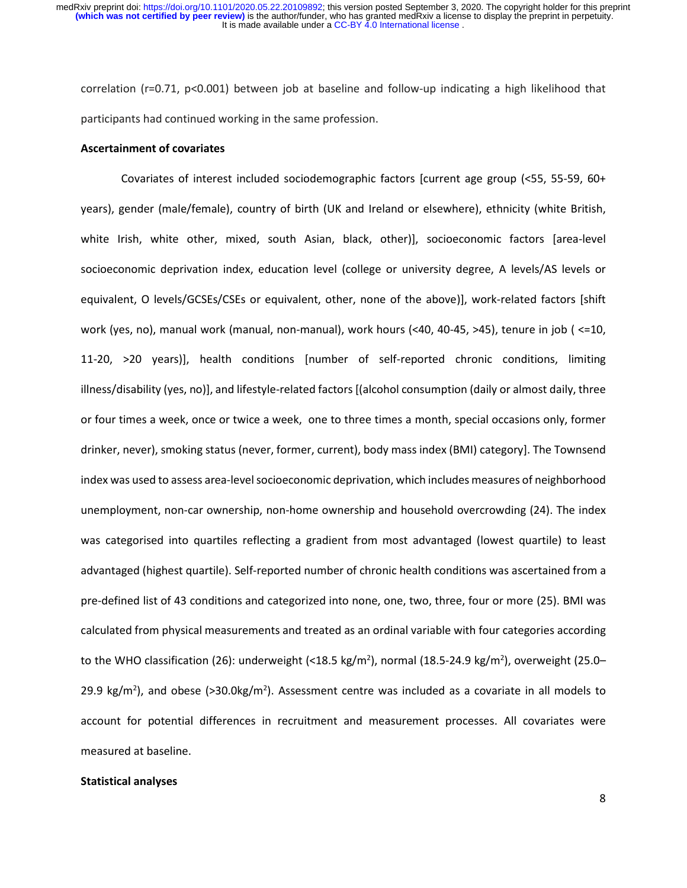correlation (r=0.71, p<0.001) between job at baseline and follow-up indicating a high likelihood that participants had continued working in the same profession.

#### **Ascertainment of covariates**

Covariates of interest included sociodemographic factors [current age group (<55, 55-59, 60+ years), gender (male/female), country of birth (UK and Ireland or elsewhere), ethnicity (white British, white Irish, white other, mixed, south Asian, black, other)], socioeconomic factors [area-level socioeconomic deprivation index, education level (college or university degree, A levels/AS levels or equivalent, O levels/GCSEs/CSEs or equivalent, other, none of the above)], work-related factors [shift work (yes, no), manual work (manual, non-manual), work hours (<40, 40-45, >45), tenure in job ( <=10, 11-20, >20 years)], health conditions [number of self-reported chronic conditions, limiting illness/disability (yes, no)], and lifestyle-related factors [(alcohol consumption (daily or almost daily, three or four times a week, once or twice a week, one to three times a month, special occasions only, former drinker, never), smoking status (never, former, current), body mass index (BMI) category]. The Townsend index was used to assess area-level socioeconomic deprivation, which includes measures of neighborhood unemployment, non-car ownership, non-home ownership and household overcrowding (24). The index was categorised into quartiles reflecting a gradient from most advantaged (lowest quartile) to least advantaged (highest quartile). Self-reported number of chronic health conditions was ascertained from a pre-defined list of 43 conditions and categorized into none, one, two, three, four or more (25). BMI was calculated from physical measurements and treated as an ordinal variable with four categories according to the WHO classification (26): underweight (<18.5 kg/m<sup>2</sup>), normal (18.5-24.9 kg/m<sup>2</sup>), overweight (25.0– 29.9 kg/m<sup>2</sup>), and obese (>30.0kg/m<sup>2</sup>). Assessment centre was included as a covariate in all models to account for potential differences in recruitment and measurement processes. All covariates were measured at baseline.

#### **Statistical analyses**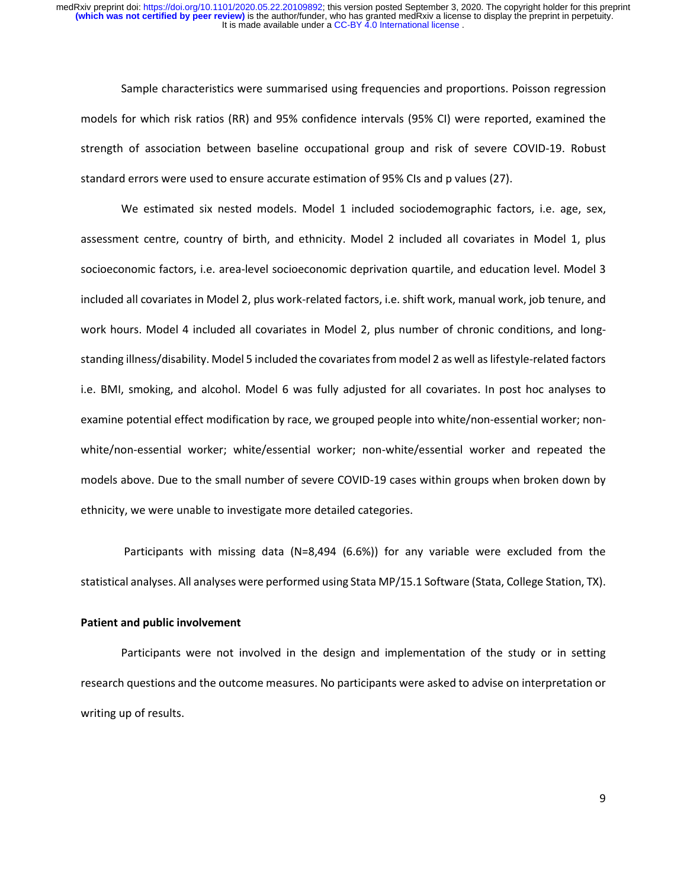Sample characteristics were summarised using frequencies and proportions. Poisson regression models for which risk ratios (RR) and 95% confidence intervals (95% CI) were reported, examined the strength of association between baseline occupational group and risk of severe COVID-19. Robust standard errors were used to ensure accurate estimation of 95% CIs and p values (27).

We estimated six nested models. Model 1 included sociodemographic factors, i.e. age, sex, assessment centre, country of birth, and ethnicity. Model 2 included all covariates in Model 1, plus socioeconomic factors, i.e. area-level socioeconomic deprivation quartile, and education level. Model 3 included all covariates in Model 2, plus work-related factors, i.e. shift work, manual work, job tenure, and work hours. Model 4 included all covariates in Model 2, plus number of chronic conditions, and longstanding illness/disability. Model 5 included the covariates from model 2 as well aslifestyle-related factors i.e. BMI, smoking, and alcohol. Model 6 was fully adjusted for all covariates. In post hoc analyses to examine potential effect modification by race, we grouped people into white/non-essential worker; nonwhite/non-essential worker; white/essential worker; non-white/essential worker and repeated the models above. Due to the small number of severe COVID-19 cases within groups when broken down by ethnicity, we were unable to investigate more detailed categories.

Participants with missing data (N=8,494 (6.6%)) for any variable were excluded from the statistical analyses. All analyses were performed using Stata MP/15.1 Software (Stata, College Station, TX).

# **Patient and public involvement**

Participants were not involved in the design and implementation of the study or in setting research questions and the outcome measures. No participants were asked to advise on interpretation or writing up of results.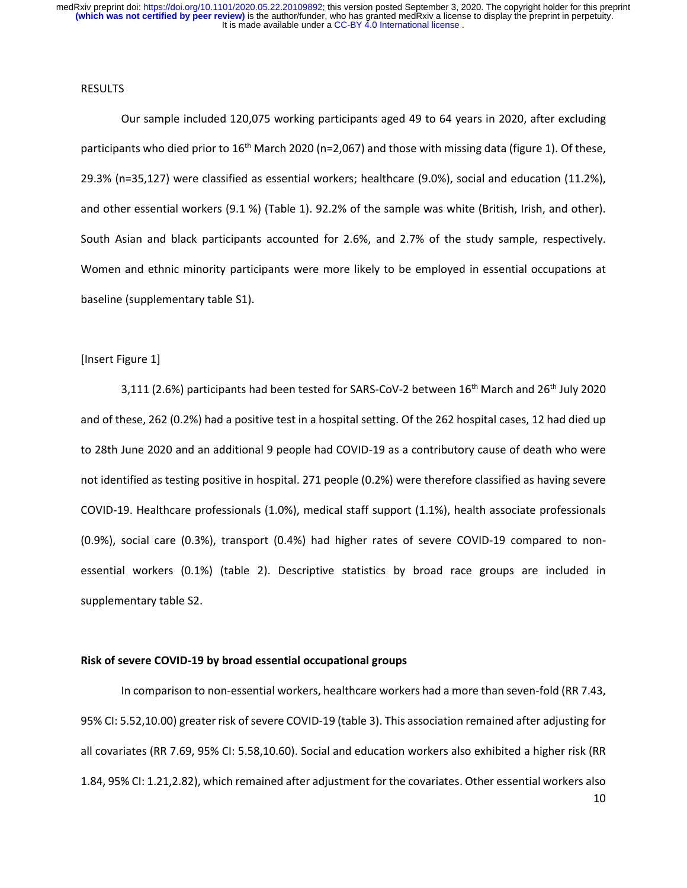#### RESULTS

Our sample included 120,075 working participants aged 49 to 64 years in 2020, after excluding participants who died prior to 16<sup>th</sup> March 2020 (n=2,067) and those with missing data (figure 1). Of these, 29.3% (n=35,127) were classified as essential workers; healthcare (9.0%), social and education (11.2%), and other essential workers (9.1 %) (Table 1). 92.2% of the sample was white (British, Irish, and other). South Asian and black participants accounted for 2.6%, and 2.7% of the study sample, respectively. Women and ethnic minority participants were more likely to be employed in essential occupations at baseline (supplementary table S1).

## [Insert Figure 1]

3,111 (2.6%) participants had been tested for SARS-CoV-2 between 16<sup>th</sup> March and 26<sup>th</sup> July 2020 and of these, 262 (0.2%) had a positive test in a hospital setting. Of the 262 hospital cases, 12 had died up to 28th June 2020 and an additional 9 people had COVID-19 as a contributory cause of death who were not identified as testing positive in hospital. 271 people (0.2%) were therefore classified as having severe COVID-19. Healthcare professionals (1.0%), medical staff support (1.1%), health associate professionals (0.9%), social care (0.3%), transport (0.4%) had higher rates of severe COVID-19 compared to nonessential workers (0.1%) (table 2). Descriptive statistics by broad race groups are included in supplementary table S2.

# **Risk of severe COVID-19 by broad essential occupational groups**

10 In comparison to non-essential workers, healthcare workers had a more than seven-fold (RR 7.43, 95% CI: 5.52,10.00) greater risk of severe COVID-19 (table 3). This association remained after adjusting for all covariates (RR 7.69, 95% CI: 5.58,10.60). Social and education workers also exhibited a higher risk (RR 1.84, 95% CI: 1.21,2.82), which remained after adjustment for the covariates. Other essential workers also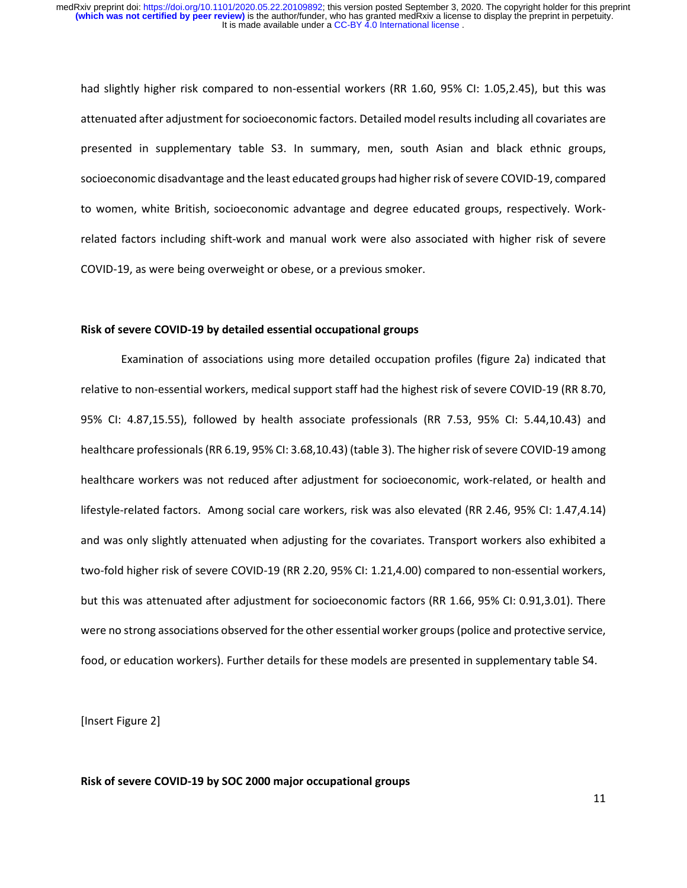had slightly higher risk compared to non-essential workers (RR 1.60, 95% CI: 1.05,2.45), but this was attenuated after adjustment for socioeconomic factors. Detailed model results including all covariates are presented in supplementary table S3. In summary, men, south Asian and black ethnic groups, socioeconomic disadvantage and the least educated groups had higher risk of severe COVID-19, compared to women, white British, socioeconomic advantage and degree educated groups, respectively. Workrelated factors including shift-work and manual work were also associated with higher risk of severe COVID-19, as were being overweight or obese, or a previous smoker.

## **Risk of severe COVID-19 by detailed essential occupational groups**

Examination of associations using more detailed occupation profiles (figure 2a) indicated that relative to non-essential workers, medical support staff had the highest risk of severe COVID-19 (RR 8.70, 95% CI: 4.87,15.55), followed by health associate professionals (RR 7.53, 95% CI: 5.44,10.43) and healthcare professionals (RR 6.19, 95% CI: 3.68,10.43) (table 3). The higher risk of severe COVID-19 among healthcare workers was not reduced after adjustment for socioeconomic, work-related, or health and lifestyle-related factors. Among social care workers, risk was also elevated (RR 2.46, 95% CI: 1.47,4.14) and was only slightly attenuated when adjusting for the covariates. Transport workers also exhibited a two-fold higher risk of severe COVID-19 (RR 2.20, 95% CI: 1.21,4.00) compared to non-essential workers, but this was attenuated after adjustment for socioeconomic factors (RR 1.66, 95% CI: 0.91,3.01). There were no strong associations observed for the other essential worker groups(police and protective service, food, or education workers). Further details for these models are presented in supplementary table S4.

[Insert Figure 2]

**Risk of severe COVID-19 by SOC 2000 major occupational groups**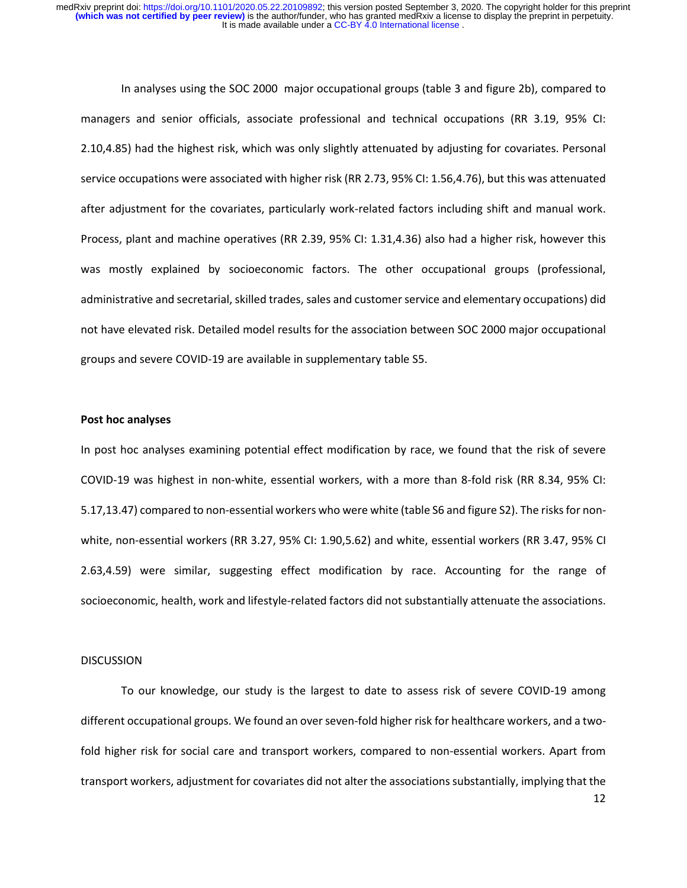In analyses using the SOC 2000 major occupational groups (table 3 and figure 2b), compared to managers and senior officials, associate professional and technical occupations (RR 3.19, 95% CI: 2.10,4.85) had the highest risk, which was only slightly attenuated by adjusting for covariates. Personal service occupations were associated with higher risk (RR 2.73, 95% CI: 1.56,4.76), but this was attenuated after adjustment for the covariates, particularly work-related factors including shift and manual work. Process, plant and machine operatives (RR 2.39, 95% CI: 1.31,4.36) also had a higher risk, however this was mostly explained by socioeconomic factors. The other occupational groups (professional, administrative and secretarial, skilled trades, sales and customer service and elementary occupations) did not have elevated risk. Detailed model results for the association between SOC 2000 major occupational groups and severe COVID-19 are available in supplementary table S5.

## **Post hoc analyses**

In post hoc analyses examining potential effect modification by race, we found that the risk of severe COVID-19 was highest in non-white, essential workers, with a more than 8-fold risk (RR 8.34, 95% CI: 5.17,13.47) compared to non-essential workers who were white (table S6 and figure S2). The risks for nonwhite, non-essential workers (RR 3.27, 95% CI: 1.90,5.62) and white, essential workers (RR 3.47, 95% CI 2.63,4.59) were similar, suggesting effect modification by race. Accounting for the range of socioeconomic, health, work and lifestyle-related factors did not substantially attenuate the associations.

#### DISCUSSION

To our knowledge, our study is the largest to date to assess risk of severe COVID-19 among different occupational groups. We found an over seven-fold higher risk for healthcare workers, and a twofold higher risk for social care and transport workers, compared to non-essential workers. Apart from transport workers, adjustment for covariates did not alter the associations substantially, implying that the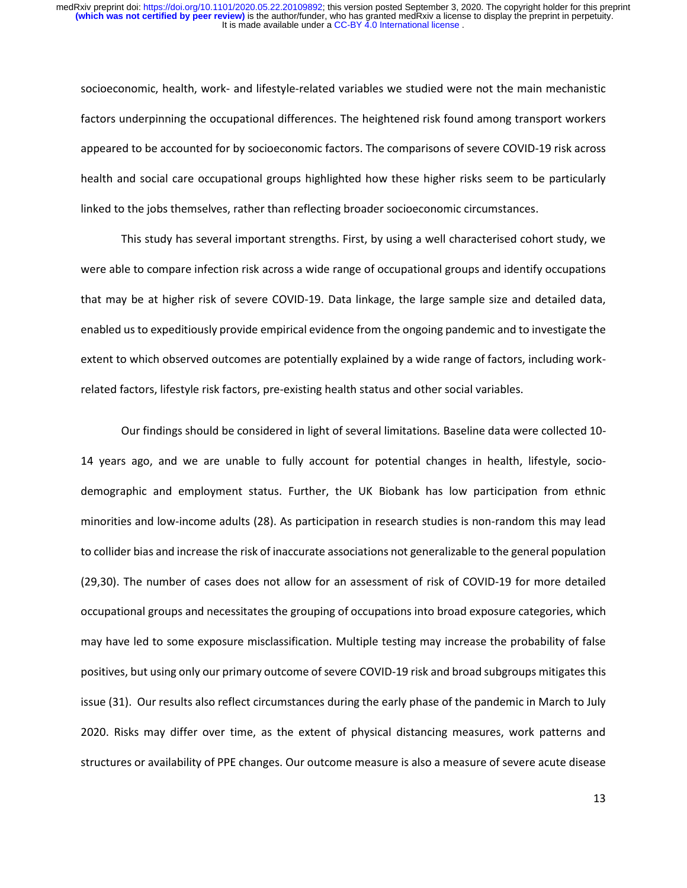socioeconomic, health, work- and lifestyle-related variables we studied were not the main mechanistic factors underpinning the occupational differences. The heightened risk found among transport workers appeared to be accounted for by socioeconomic factors. The comparisons of severe COVID-19 risk across health and social care occupational groups highlighted how these higher risks seem to be particularly linked to the jobs themselves, rather than reflecting broader socioeconomic circumstances.

This study has several important strengths. First, by using a well characterised cohort study, we were able to compare infection risk across a wide range of occupational groups and identify occupations that may be at higher risk of severe COVID-19. Data linkage, the large sample size and detailed data, enabled us to expeditiously provide empirical evidence from the ongoing pandemic and to investigate the extent to which observed outcomes are potentially explained by a wide range of factors, including workrelated factors, lifestyle risk factors, pre-existing health status and other social variables.

Our findings should be considered in light of several limitations*.* Baseline data were collected 10- 14 years ago, and we are unable to fully account for potential changes in health, lifestyle, sociodemographic and employment status. Further, the UK Biobank has low participation from ethnic minorities and low-income adults (28). As participation in research studies is non-random this may lead to collider bias and increase the risk of inaccurate associations not generalizable to the general population (29,30). The number of cases does not allow for an assessment of risk of COVID-19 for more detailed occupational groups and necessitates the grouping of occupations into broad exposure categories, which may have led to some exposure misclassification. Multiple testing may increase the probability of false positives, but using only our primary outcome of severe COVID-19 risk and broad subgroups mitigates this issue (31). Our results also reflect circumstances during the early phase of the pandemic in March to July 2020. Risks may differ over time, as the extent of physical distancing measures, work patterns and structures or availability of PPE changes. Our outcome measure is also a measure of severe acute disease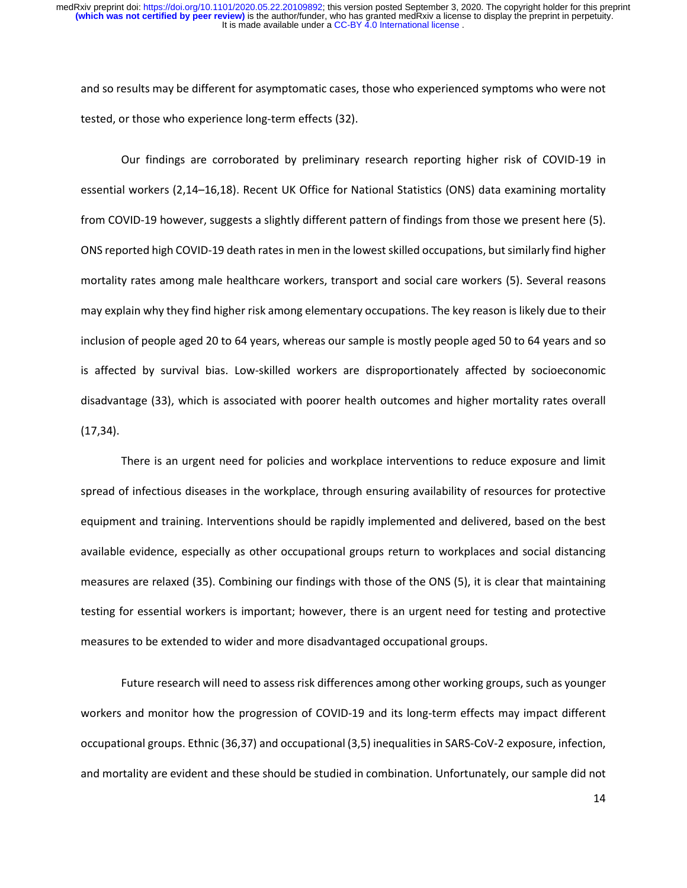and so results may be different for asymptomatic cases, those who experienced symptoms who were not tested, or those who experience long-term effects (32).

Our findings are corroborated by preliminary research reporting higher risk of COVID-19 in essential workers (2,14–16,18). Recent UK Office for National Statistics (ONS) data examining mortality from COVID-19 however, suggests a slightly different pattern of findings from those we present here (5). ONS reported high COVID-19 death rates in men in the lowest skilled occupations, but similarly find higher mortality rates among male healthcare workers, transport and social care workers (5). Several reasons may explain why they find higher risk among elementary occupations. The key reason is likely due to their inclusion of people aged 20 to 64 years, whereas our sample is mostly people aged 50 to 64 years and so is affected by survival bias. Low-skilled workers are disproportionately affected by socioeconomic disadvantage (33), which is associated with poorer health outcomes and higher mortality rates overall (17,34).

There is an urgent need for policies and workplace interventions to reduce exposure and limit spread of infectious diseases in the workplace, through ensuring availability of resources for protective equipment and training. Interventions should be rapidly implemented and delivered, based on the best available evidence, especially as other occupational groups return to workplaces and social distancing measures are relaxed (35). Combining our findings with those of the ONS (5), it is clear that maintaining testing for essential workers is important; however, there is an urgent need for testing and protective measures to be extended to wider and more disadvantaged occupational groups.

Future research will need to assess risk differences among other working groups, such as younger workers and monitor how the progression of COVID-19 and its long-term effects may impact different occupational groups. Ethnic (36,37) and occupational (3,5) inequalities in SARS-CoV-2 exposure, infection, and mortality are evident and these should be studied in combination. Unfortunately, our sample did not

14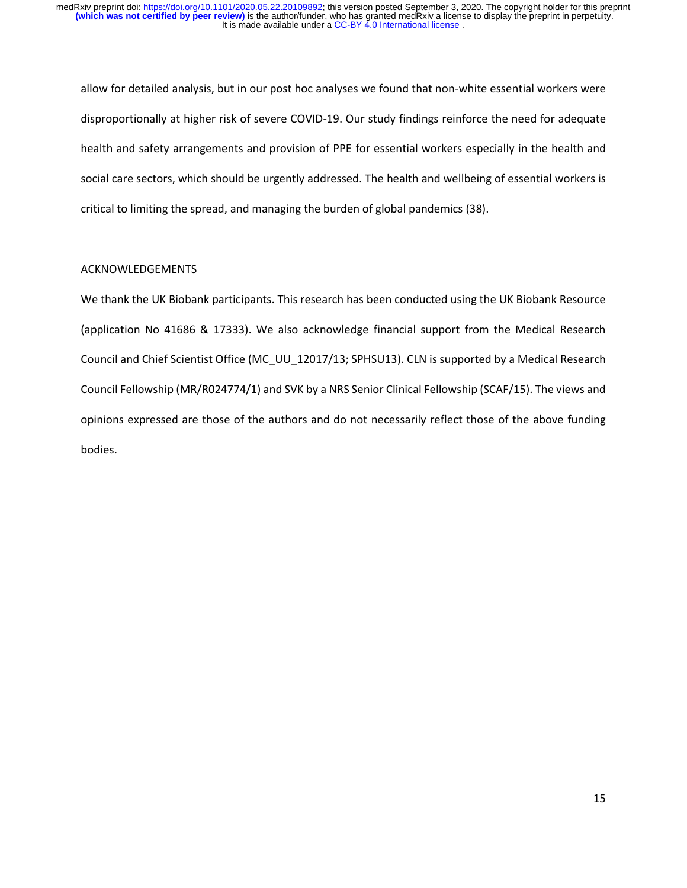allow for detailed analysis, but in our post hoc analyses we found that non-white essential workers were disproportionally at higher risk of severe COVID-19. Our study findings reinforce the need for adequate health and safety arrangements and provision of PPE for essential workers especially in the health and social care sectors, which should be urgently addressed. The health and wellbeing of essential workers is critical to limiting the spread, and managing the burden of global pandemics (38).

# ACKNOWLEDGEMENTS

We thank the UK Biobank participants. This research has been conducted using the UK Biobank Resource (application No 41686 & 17333). We also acknowledge financial support from the Medical Research Council and Chief Scientist Office (MC\_UU\_12017/13; SPHSU13). CLN is supported by a Medical Research Council Fellowship (MR/R024774/1) and SVK by a NRS Senior Clinical Fellowship (SCAF/15). The views and opinions expressed are those of the authors and do not necessarily reflect those of the above funding bodies.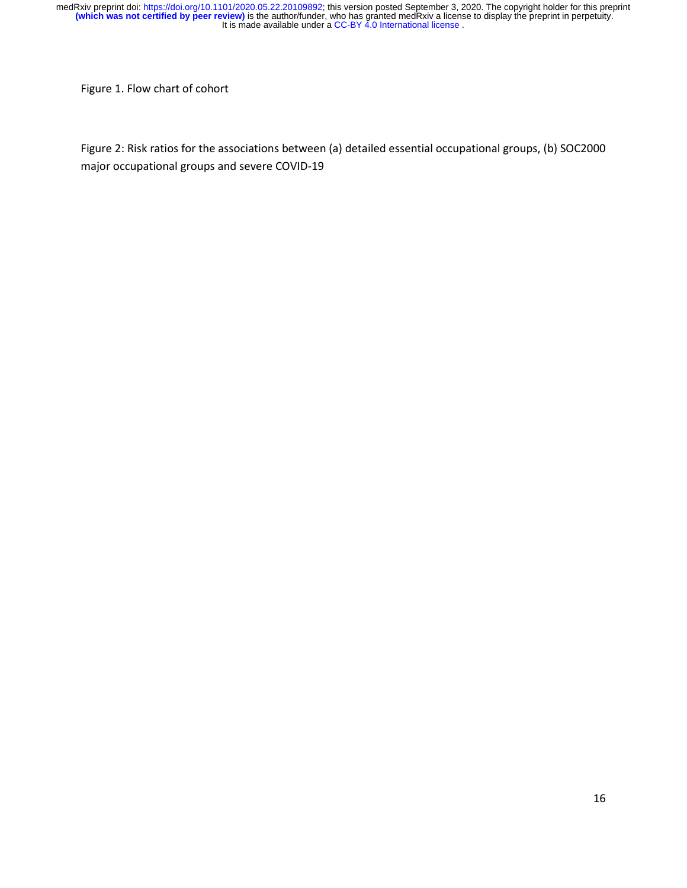Figure 1. Flow chart of cohort

Figure 2: Risk ratios for the associations between (a) detailed essential occupational groups, (b) SOC2000 major occupational groups and severe COVID-19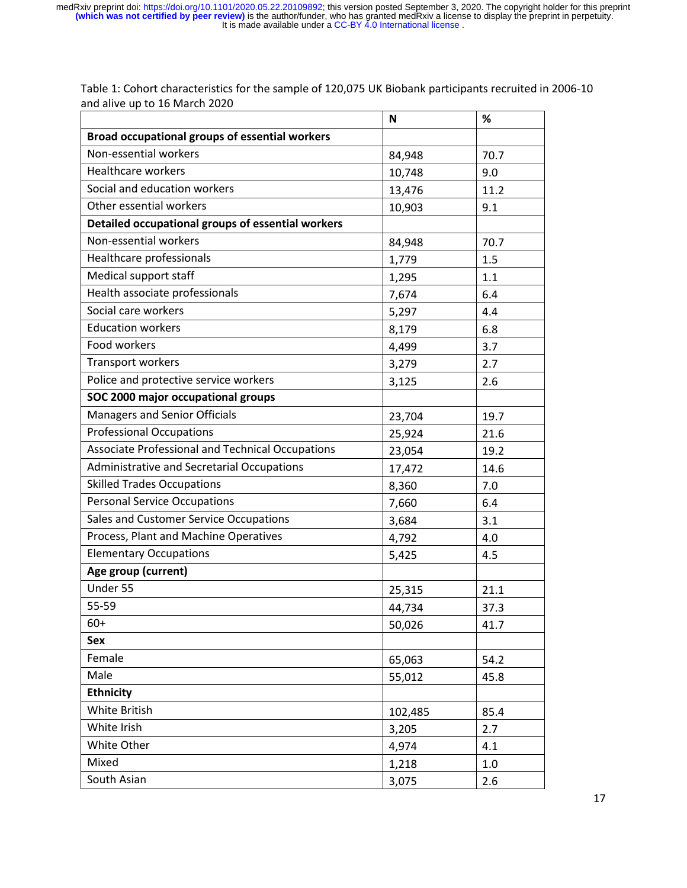|                                                   | N       | %    |
|---------------------------------------------------|---------|------|
| Broad occupational groups of essential workers    |         |      |
| Non-essential workers                             | 84,948  | 70.7 |
| Healthcare workers                                | 10,748  | 9.0  |
| Social and education workers                      | 13,476  | 11.2 |
| Other essential workers                           | 10,903  | 9.1  |
| Detailed occupational groups of essential workers |         |      |
| Non-essential workers                             | 84,948  | 70.7 |
| Healthcare professionals                          | 1,779   | 1.5  |
| Medical support staff                             | 1,295   | 1.1  |
| Health associate professionals                    | 7,674   | 6.4  |
| Social care workers                               | 5,297   | 4.4  |
| <b>Education workers</b>                          | 8,179   | 6.8  |
| Food workers                                      | 4,499   | 3.7  |
| <b>Transport workers</b>                          | 3,279   | 2.7  |
| Police and protective service workers             | 3,125   | 2.6  |
| SOC 2000 major occupational groups                |         |      |
| Managers and Senior Officials                     | 23,704  | 19.7 |
| <b>Professional Occupations</b>                   | 25,924  | 21.6 |
| Associate Professional and Technical Occupations  | 23,054  | 19.2 |
| <b>Administrative and Secretarial Occupations</b> | 17,472  | 14.6 |
| <b>Skilled Trades Occupations</b>                 | 8,360   | 7.0  |
| <b>Personal Service Occupations</b>               | 7,660   | 6.4  |
| Sales and Customer Service Occupations            | 3,684   | 3.1  |
| Process, Plant and Machine Operatives             | 4,792   | 4.0  |
| <b>Elementary Occupations</b>                     | 5,425   | 4.5  |
| Age group (current)                               |         |      |
| Under 55                                          | 25,315  | 21.1 |
| 55-59                                             | 44,734  | 37.3 |
| $60+$                                             | 50,026  | 41.7 |
| Sex                                               |         |      |
| Female                                            | 65,063  | 54.2 |
| Male                                              | 55,012  | 45.8 |
| <b>Ethnicity</b>                                  |         |      |
| White British                                     | 102,485 | 85.4 |
| White Irish                                       | 3,205   | 2.7  |
| White Other                                       | 4,974   | 4.1  |
| Mixed                                             | 1,218   | 1.0  |
| South Asian                                       | 3,075   | 2.6  |

Table 1: Cohort characteristics for the sample of 120,075 UK Biobank participants recruited in 2006-10 and alive up to 16 March 2020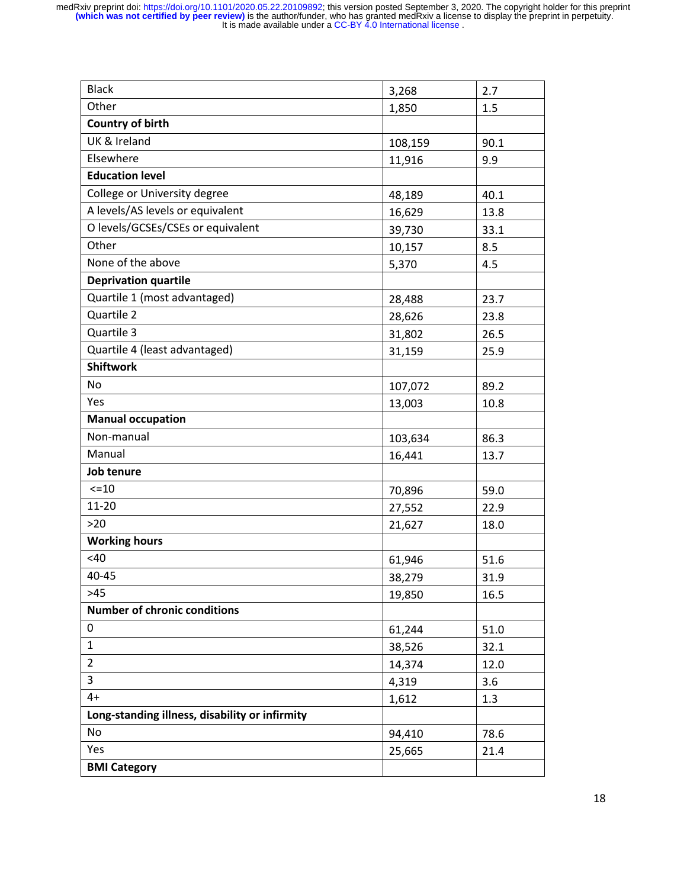| <b>Black</b>                                   | 3,268   | 2.7  |
|------------------------------------------------|---------|------|
| Other                                          | 1,850   | 1.5  |
| <b>Country of birth</b>                        |         |      |
| UK & Ireland                                   | 108,159 | 90.1 |
| Elsewhere                                      | 11,916  | 9.9  |
| <b>Education level</b>                         |         |      |
| College or University degree                   | 48,189  | 40.1 |
| A levels/AS levels or equivalent               | 16,629  | 13.8 |
| O levels/GCSEs/CSEs or equivalent              | 39,730  | 33.1 |
| Other                                          | 10,157  | 8.5  |
| None of the above                              | 5,370   | 4.5  |
| <b>Deprivation quartile</b>                    |         |      |
| Quartile 1 (most advantaged)                   | 28,488  | 23.7 |
| Quartile 2                                     | 28,626  | 23.8 |
| Quartile 3                                     | 31,802  | 26.5 |
| Quartile 4 (least advantaged)                  | 31,159  | 25.9 |
| <b>Shiftwork</b>                               |         |      |
| No                                             | 107,072 | 89.2 |
| Yes                                            | 13,003  | 10.8 |
| <b>Manual occupation</b>                       |         |      |
| Non-manual                                     | 103,634 | 86.3 |
| Manual                                         | 16,441  | 13.7 |
| Job tenure                                     |         |      |
| $< = 10$                                       | 70,896  | 59.0 |
| $11 - 20$                                      | 27,552  | 22.9 |
| $>20$                                          | 21,627  | 18.0 |
| <b>Working hours</b>                           |         |      |
| <40                                            | 61,946  | 51.6 |
| 40-45                                          | 38,279  | 31.9 |
| $>45$                                          | 19,850  | 16.5 |
| <b>Number of chronic conditions</b>            |         |      |
| 0                                              | 61,244  | 51.0 |
| $\mathbf{1}$                                   | 38,526  | 32.1 |
| $\overline{2}$                                 | 14,374  | 12.0 |
| $\overline{3}$                                 | 4,319   | 3.6  |
| $4+$                                           | 1,612   | 1.3  |
| Long-standing illness, disability or infirmity |         |      |
| No                                             | 94,410  | 78.6 |
| Yes                                            | 25,665  | 21.4 |
| <b>BMI Category</b>                            |         |      |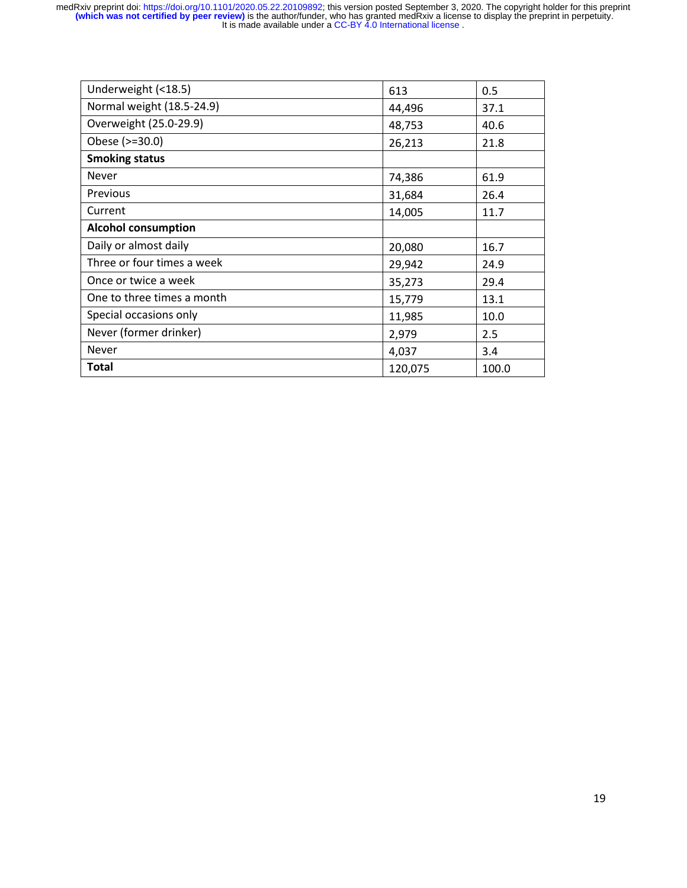| Underweight (<18.5)        | 613     | 0.5   |
|----------------------------|---------|-------|
| Normal weight (18.5-24.9)  | 44,496  | 37.1  |
| Overweight (25.0-29.9)     | 48,753  | 40.6  |
| Obese (>=30.0)             | 26,213  | 21.8  |
| <b>Smoking status</b>      |         |       |
| <b>Never</b>               | 74,386  | 61.9  |
| Previous                   | 31,684  | 26.4  |
| Current                    | 14,005  | 11.7  |
| <b>Alcohol consumption</b> |         |       |
| Daily or almost daily      | 20,080  | 16.7  |
| Three or four times a week | 29,942  | 24.9  |
| Once or twice a week       | 35,273  | 29.4  |
| One to three times a month | 15,779  | 13.1  |
| Special occasions only     | 11,985  | 10.0  |
| Never (former drinker)     | 2,979   | 2.5   |
| <b>Never</b>               | 4,037   | 3.4   |
| <b>Total</b>               | 120,075 | 100.0 |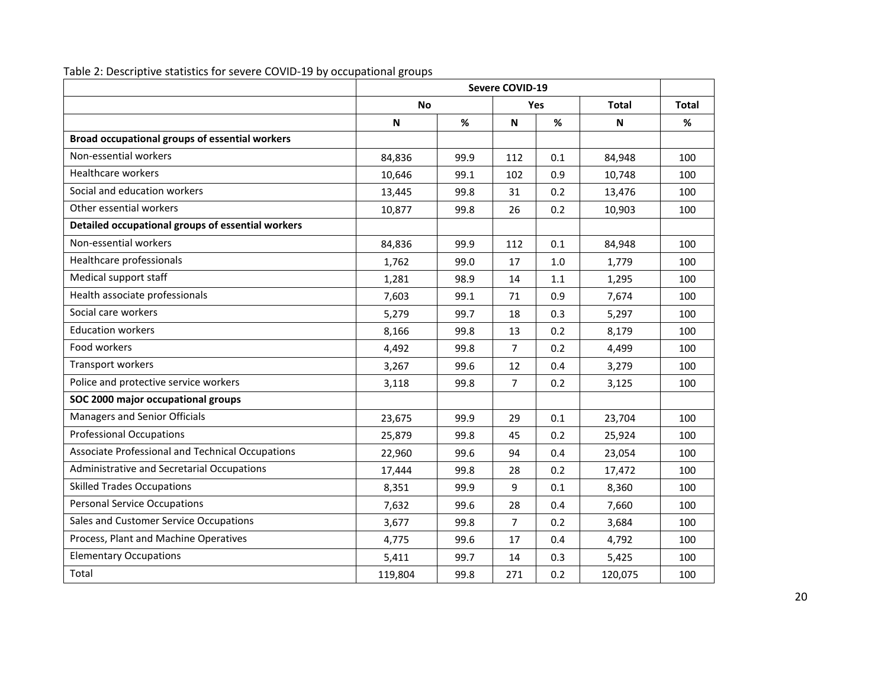|                                                   | Severe COVID-19 |            |                |              |              |     |
|---------------------------------------------------|-----------------|------------|----------------|--------------|--------------|-----|
|                                                   | <b>No</b>       | <b>Yes</b> |                | <b>Total</b> | <b>Total</b> |     |
|                                                   | ${\sf N}$       | %          | $\mathsf{N}$   | %            | N            | %   |
| Broad occupational groups of essential workers    |                 |            |                |              |              |     |
| Non-essential workers                             | 84,836          | 99.9       | 112            | 0.1          | 84,948       | 100 |
| <b>Healthcare workers</b>                         | 10,646          | 99.1       | 102            | 0.9          | 10,748       | 100 |
| Social and education workers                      | 13,445          | 99.8       | 31             | 0.2          | 13,476       | 100 |
| Other essential workers                           | 10,877          | 99.8       | 26             | 0.2          | 10,903       | 100 |
| Detailed occupational groups of essential workers |                 |            |                |              |              |     |
| Non-essential workers                             | 84,836          | 99.9       | 112            | 0.1          | 84,948       | 100 |
| Healthcare professionals                          | 1,762           | 99.0       | 17             | 1.0          | 1,779        | 100 |
| Medical support staff                             | 1,281           | 98.9       | 14             | 1.1          | 1,295        | 100 |
| Health associate professionals                    | 7,603           | 99.1       | 71             | 0.9          | 7,674        | 100 |
| Social care workers                               | 5,279           | 99.7       | 18             | 0.3          | 5,297        | 100 |
| <b>Education workers</b>                          | 8,166           | 99.8       | 13             | 0.2          | 8,179        | 100 |
| Food workers                                      | 4,492           | 99.8       | $\overline{7}$ | 0.2          | 4,499        | 100 |
| Transport workers                                 | 3,267           | 99.6       | 12             | 0.4          | 3,279        | 100 |
| Police and protective service workers             | 3,118           | 99.8       | $\overline{7}$ | 0.2          | 3,125        | 100 |
| SOC 2000 major occupational groups                |                 |            |                |              |              |     |
| Managers and Senior Officials                     | 23,675          | 99.9       | 29             | 0.1          | 23,704       | 100 |
| <b>Professional Occupations</b>                   | 25,879          | 99.8       | 45             | 0.2          | 25,924       | 100 |
| Associate Professional and Technical Occupations  | 22,960          | 99.6       | 94             | 0.4          | 23,054       | 100 |
| Administrative and Secretarial Occupations        | 17,444          | 99.8       | 28             | 0.2          | 17,472       | 100 |
| <b>Skilled Trades Occupations</b>                 | 8,351           | 99.9       | 9              | 0.1          | 8,360        | 100 |
| <b>Personal Service Occupations</b>               | 7,632           | 99.6       | 28             | 0.4          | 7,660        | 100 |
| Sales and Customer Service Occupations            | 3,677           | 99.8       | $\overline{7}$ | 0.2          | 3,684        | 100 |
| Process, Plant and Machine Operatives             | 4,775           | 99.6       | 17             | 0.4          | 4,792        | 100 |
| <b>Elementary Occupations</b>                     | 5,411           | 99.7       | 14             | 0.3          | 5,425        | 100 |
| Total                                             | 119,804         | 99.8       | 271            | 0.2          | 120,075      | 100 |

Table 2: Descriptive statistics for severe COVID-19 by occupational groups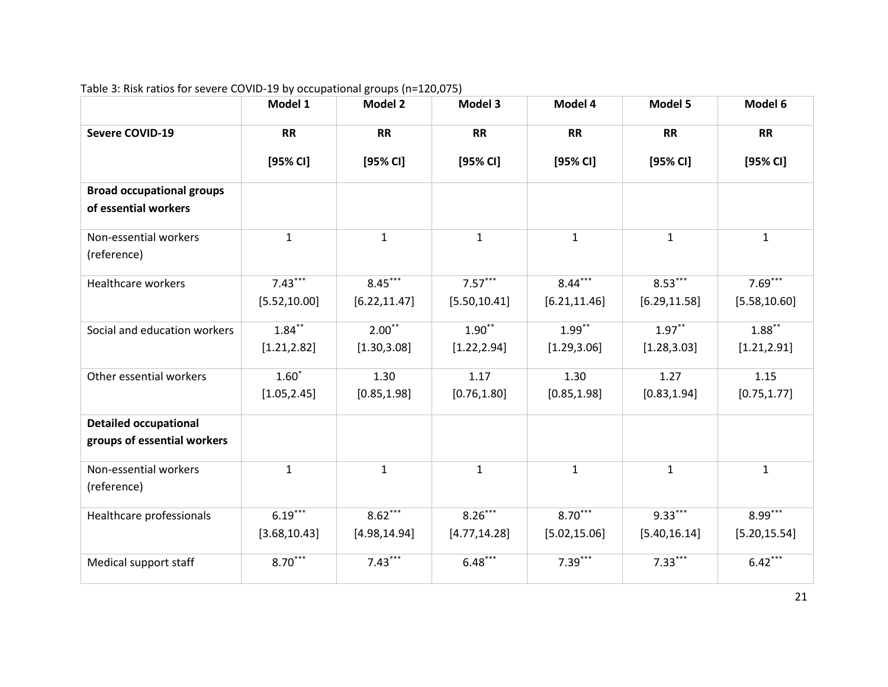|                                                             | Model 1                    | <b>Model 2</b>             | Model 3                    | Model 4                    | Model 5                    | Model 6                    |
|-------------------------------------------------------------|----------------------------|----------------------------|----------------------------|----------------------------|----------------------------|----------------------------|
| <b>Severe COVID-19</b>                                      | <b>RR</b>                  | <b>RR</b>                  | <b>RR</b>                  | <b>RR</b>                  | <b>RR</b>                  | <b>RR</b>                  |
|                                                             | [95% CI]                   | [95% CI]                   | [95% <sub>C</sub>          | [95% CI]                   | [95% CI]                   | [95% CI]                   |
| <b>Broad occupational groups</b><br>of essential workers    |                            |                            |                            |                            |                            |                            |
| Non-essential workers<br>(reference)                        | $\mathbf{1}$               | $\mathbf{1}$               | $\mathbf{1}$               | $\mathbf{1}$               | $\mathbf{1}$               | $\mathbf{1}$               |
| Healthcare workers                                          | $7.43***$<br>[5.52, 10.00] | $8.45***$<br>[6.22, 11.47] | $7.57***$<br>[5.50, 10.41] | $8.44***$<br>[6.21, 11.46] | $8.53***$<br>[6.29, 11.58] | $7.69***$<br>[5.58, 10.60] |
| Social and education workers                                | $1.84***$<br>[1.21, 2.82]  | $2.00**$<br>[1.30, 3.08]   | $1.90**$<br>[1.22, 2.94]   | $1.99***$<br>[1.29, 3.06]  | $1.97***$<br>[1.28, 3.03]  | $1.88***$<br>[1.21, 2.91]  |
| Other essential workers                                     | $1.60*$<br>[1.05, 2.45]    | 1.30<br>[0.85, 1.98]       | 1.17<br>[0.76, 1.80]       | 1.30<br>[0.85, 1.98]       | 1.27<br>[0.83, 1.94]       | 1.15<br>[0.75, 1.77]       |
| <b>Detailed occupational</b><br>groups of essential workers |                            |                            |                            |                            |                            |                            |
| Non-essential workers<br>(reference)                        | $\mathbf{1}$               | $\mathbf{1}$               | $\mathbf{1}$               | $\mathbf 1$                | $\mathbf{1}$               | $\mathbf{1}$               |
| Healthcare professionals                                    | $6.19***$<br>[3.68, 10.43] | $8.62***$<br>[4.98, 14.94] | $8.26***$<br>[4.77, 14.28] | $8.70***$<br>[5.02, 15.06] | $9.33***$<br>[5.40, 16.14] | $8.99***$<br>[5.20, 15.54] |
| Medical support staff                                       | $8.70***$                  | $7.43***$                  | $6.48***$                  | $7.39***$                  | $7.33***$                  | $6.42***$                  |

# Table 3: Risk ratios for severe COVID-19 by occupational groups (n=120,075)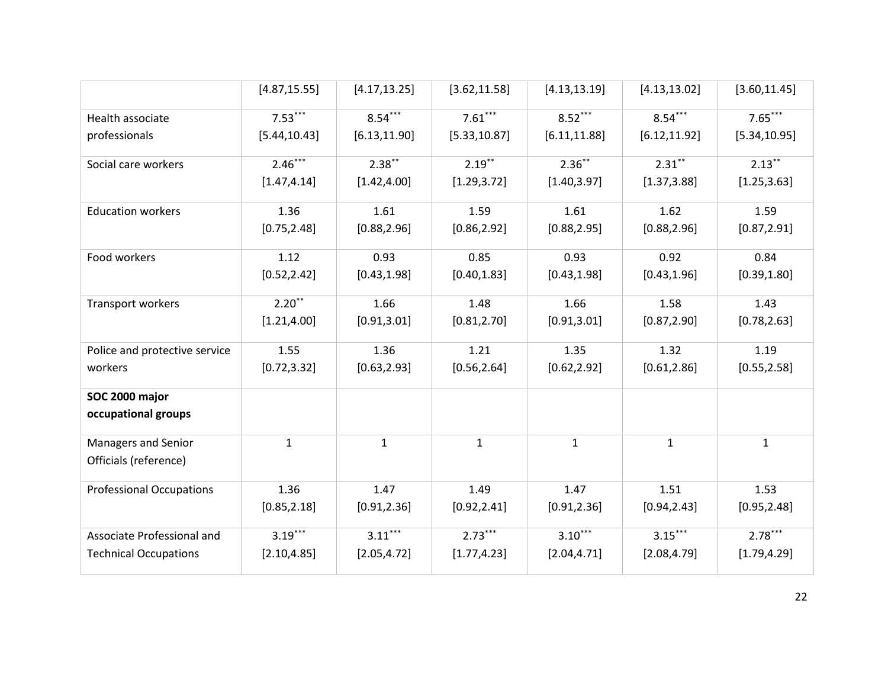|                                 | [4.87, 15.55] | [4.17, 13.25] | [3.62, 11.58] | [4.13, 13.19] | [4.13, 13.02] | [3.60, 11.45] |
|---------------------------------|---------------|---------------|---------------|---------------|---------------|---------------|
| Health associate                | $7.53***$     | $8.54***$     | $7.61***$     | $8.52***$     | $8.54***$     | $7.65***$     |
| professionals                   | [5.44, 10.43] | [6.13, 11.90] | [5.33, 10.87] | [6.11, 11.88] | [6.12, 11.92] | [5.34, 10.95] |
| Social care workers             | $2.46***$     | $2.38***$     | $2.19***$     | $2.36***$     | $2.31***$     | $2.13***$     |
|                                 | [1.47, 4.14]  | [1.42, 4.00]  | [1.29, 3.72]  | [1.40, 3.97]  | [1.37, 3.88]  | [1.25, 3.63]  |
| <b>Education workers</b>        | 1.36          | 1.61          | 1.59          | 1.61          | 1.62          | 1.59          |
|                                 | [0.75, 2.48]  | [0.88, 2.96]  | [0.86, 2.92]  | [0.88, 2.95]  | [0.88, 2.96]  | [0.87, 2.91]  |
| Food workers                    | 1.12          | 0.93          | 0.85          | 0.93          | 0.92          | 0.84          |
|                                 | [0.52, 2.42]  | [0.43, 1.98]  | [0.40, 1.83]  | [0.43, 1.98]  | [0.43, 1.96]  | [0.39, 1.80]  |
| Transport workers               | $2.20***$     | 1.66          | 1.48          | 1.66          | 1.58          | 1.43          |
|                                 | [1.21, 4.00]  | [0.91, 3.01]  | [0.81, 2.70]  | [0.91, 3.01]  | [0.87, 2.90]  | [0.78, 2.63]  |
| Police and protective service   | 1.55          | 1.36          | 1.21          | 1.35          | 1.32          | 1.19          |
| workers                         | [0.72, 3.32]  | [0.63, 2.93]  | [0.56, 2.64]  | [0.62, 2.92]  | [0.61, 2.86]  | [0.55, 2.58]  |
| SOC 2000 major                  |               |               |               |               |               |               |
| occupational groups             |               |               |               |               |               |               |
| Managers and Senior             | $\mathbf{1}$  | $\mathbf{1}$  | $\mathbf{1}$  | $\mathbf{1}$  | $\mathbf{1}$  | $\mathbf{1}$  |
| Officials (reference)           |               |               |               |               |               |               |
| <b>Professional Occupations</b> | 1.36          | 1.47          | 1.49          | 1.47          | 1.51          | 1.53          |
|                                 | [0.85, 2.18]  | [0.91, 2.36]  | [0.92, 2.41]  | [0.91, 2.36]  | [0.94, 2.43]  | [0.95, 2.48]  |
| Associate Professional and      | $3.19***$     | $3.11***$     | $2.73***$     | $3.10***$     | $3.15***$     | $2.78***$     |
| <b>Technical Occupations</b>    | [2.10, 4.85]  | [2.05, 4.72]  | [1.77, 4.23]  | [2.04, 4.71]  | [2.08, 4.79]  | [1.79, 4.29]  |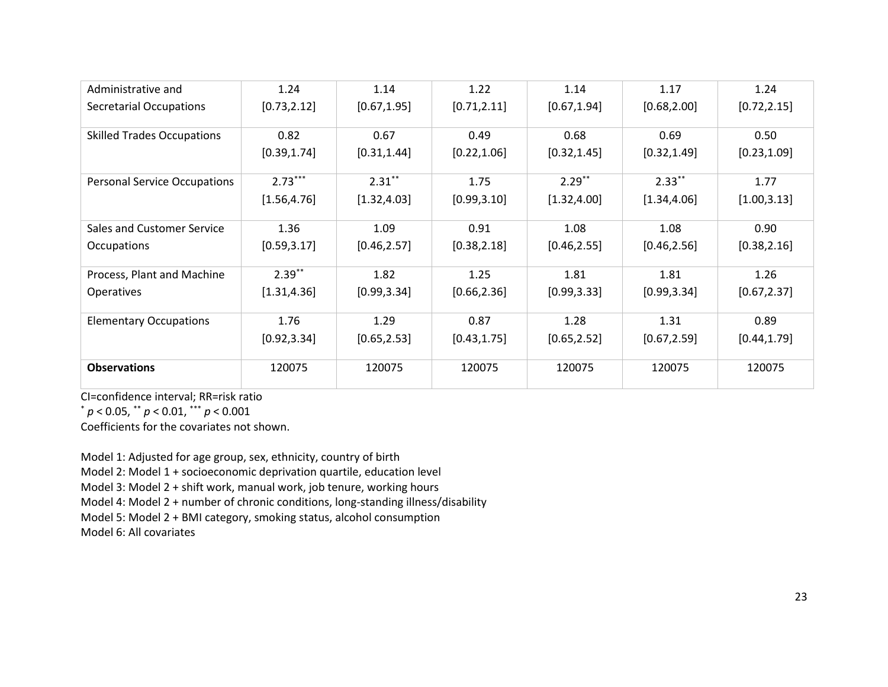| Administrative and                  | 1.24         | 1.14         | 1.22         | 1.14         | 1.17         | 1.24         |
|-------------------------------------|--------------|--------------|--------------|--------------|--------------|--------------|
| <b>Secretarial Occupations</b>      | [0.73, 2.12] | [0.67, 1.95] | [0.71, 2.11] | [0.67, 1.94] | [0.68, 2.00] | [0.72, 2.15] |
| <b>Skilled Trades Occupations</b>   | 0.82         | 0.67         | 0.49         | 0.68         | 0.69         | 0.50         |
|                                     | [0.39, 1.74] | [0.31, 1.44] | [0.22, 1.06] | [0.32, 1.45] | [0.32, 1.49] | [0.23, 1.09] |
| <b>Personal Service Occupations</b> | $2.73***$    | $2.31***$    | 1.75         | $2.29***$    | $2.33***$    | 1.77         |
|                                     | [1.56, 4.76] | [1.32, 4.03] | [0.99, 3.10] | [1.32, 4.00] | [1.34, 4.06] | [1.00, 3.13] |
| Sales and Customer Service          | 1.36         | 1.09         | 0.91         | 1.08         | 1.08         | 0.90         |
| Occupations                         | [0.59, 3.17] | [0.46, 2.57] | [0.38, 2.18] | [0.46, 2.55] | [0.46, 2.56] | [0.38, 2.16] |
| Process, Plant and Machine          | $2.39***$    | 1.82         | 1.25         | 1.81         | 1.81         | 1.26         |
| Operatives                          | [1.31, 4.36] | [0.99, 3.34] | [0.66, 2.36] | [0.99, 3.33] | [0.99, 3.34] | [0.67, 2.37] |
| <b>Elementary Occupations</b>       | 1.76         | 1.29         | 0.87         | 1.28         | 1.31         | 0.89         |
|                                     | [0.92, 3.34] | [0.65, 2.53] | [0.43, 1.75] | [0.65, 2.52] | [0.67, 2.59] | [0.44, 1.79] |
| <b>Observations</b>                 | 120075       | 120075       | 120075       | 120075       | 120075       | 120075       |

CI=confidence interval; RR=risk ratio

\* *p* < 0.05, \*\* *p* < 0.01, \*\*\* *p* < 0.001

Coefficients for the covariates not shown.

Model 1: Adjusted for age group, sex, ethnicity, country of birth

Model 2: Model 1 + socioeconomic deprivation quartile, education level

Model 3: Model 2 + shift work, manual work, job tenure, working hours

Model 4: Model 2 + number of chronic conditions, long-standing illness/disability

Model 5: Model 2 + BMI category, smoking status, alcohol consumption

Model 6: All covariates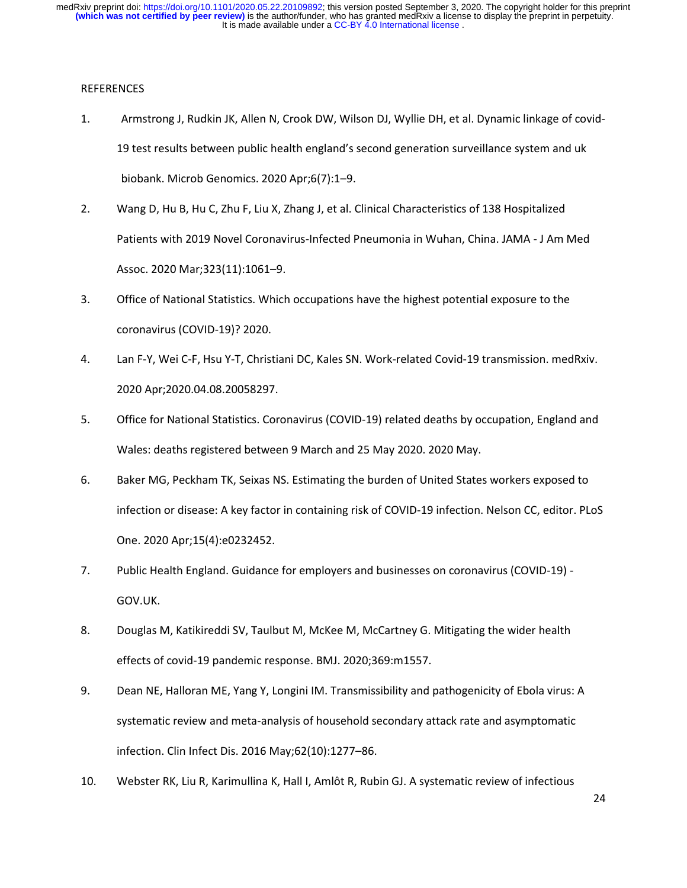## **REFERENCES**

- 1. Armstrong J, Rudkin JK, Allen N, Crook DW, Wilson DJ, Wyllie DH, et al. Dynamic linkage of covid-19 test results between public health england's second generation surveillance system and uk biobank. Microb Genomics. 2020 Apr;6(7):1–9.
- 2. Wang D, Hu B, Hu C, Zhu F, Liu X, Zhang J, et al. Clinical Characteristics of 138 Hospitalized Patients with 2019 Novel Coronavirus-Infected Pneumonia in Wuhan, China. JAMA - J Am Med Assoc. 2020 Mar;323(11):1061–9.
- 3. Office of National Statistics. Which occupations have the highest potential exposure to the coronavirus (COVID-19)? 2020.
- 4. Lan F-Y, Wei C-F, Hsu Y-T, Christiani DC, Kales SN. Work-related Covid-19 transmission. medRxiv. 2020 Apr;2020.04.08.20058297.
- 5. Office for National Statistics. Coronavirus (COVID-19) related deaths by occupation, England and Wales: deaths registered between 9 March and 25 May 2020. 2020 May.
- 6. Baker MG, Peckham TK, Seixas NS. Estimating the burden of United States workers exposed to infection or disease: A key factor in containing risk of COVID-19 infection. Nelson CC, editor. PLoS One. 2020 Apr;15(4):e0232452.
- 7. Public Health England. Guidance for employers and businesses on coronavirus (COVID-19) GOV.UK.
- 8. Douglas M, Katikireddi SV, Taulbut M, McKee M, McCartney G. Mitigating the wider health effects of covid-19 pandemic response. BMJ. 2020;369:m1557.
- 9. Dean NE, Halloran ME, Yang Y, Longini IM. Transmissibility and pathogenicity of Ebola virus: A systematic review and meta-analysis of household secondary attack rate and asymptomatic infection. Clin Infect Dis. 2016 May;62(10):1277–86.
- 10. Webster RK, Liu R, Karimullina K, Hall I, Amlôt R, Rubin GJ. A systematic review of infectious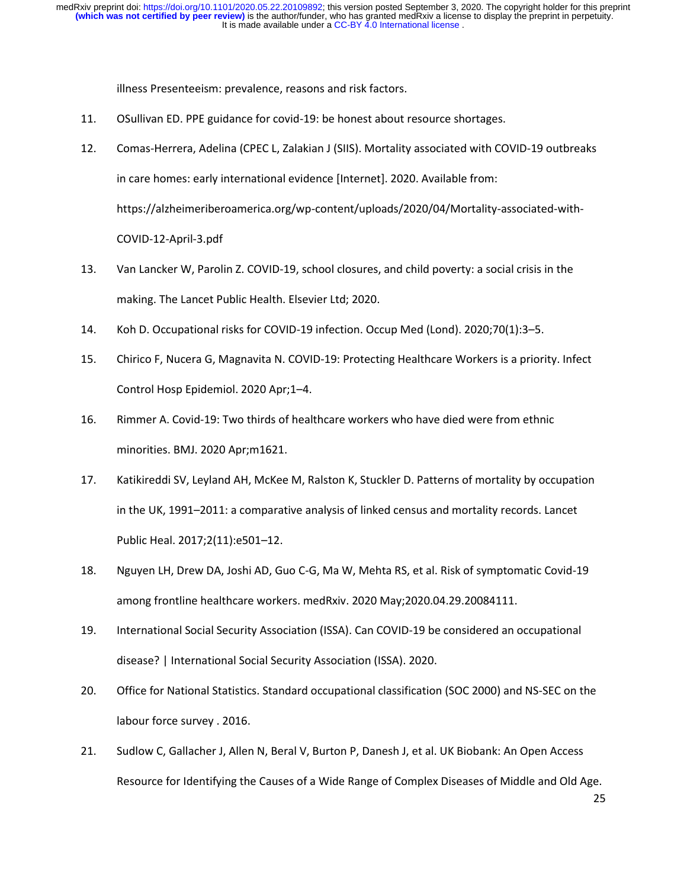It is made available under a CC-BY 4.0 International license. **(which was not certified by peer review)** is the author/funder, who has granted medRxiv a license to display the preprint in perpetuity. medRxiv preprint doi: [https://doi.org/10.1101/2020.05.22.20109892;](https://doi.org/10.1101/2020.05.22.20109892) this version posted September 3, 2020. The copyright holder for this preprint

illness Presenteeism: prevalence, reasons and risk factors.

- 11. OSullivan ED. PPE guidance for covid-19: be honest about resource shortages.
- 12. Comas-Herrera, Adelina (CPEC L, Zalakian J (SIIS). Mortality associated with COVID-19 outbreaks in care homes: early international evidence [Internet]. 2020. Available from: https://alzheimeriberoamerica.org/wp-content/uploads/2020/04/Mortality-associated-with-COVID-12-April-3.pdf
- 13. Van Lancker W, Parolin Z. COVID-19, school closures, and child poverty: a social crisis in the making. The Lancet Public Health. Elsevier Ltd; 2020.
- 14. Koh D. Occupational risks for COVID-19 infection. Occup Med (Lond). 2020;70(1):3–5.
- 15. Chirico F, Nucera G, Magnavita N. COVID-19: Protecting Healthcare Workers is a priority. Infect Control Hosp Epidemiol. 2020 Apr;1–4.
- 16. Rimmer A. Covid-19: Two thirds of healthcare workers who have died were from ethnic minorities. BMJ. 2020 Apr;m1621.
- 17. Katikireddi SV, Leyland AH, McKee M, Ralston K, Stuckler D. Patterns of mortality by occupation in the UK, 1991–2011: a comparative analysis of linked census and mortality records. Lancet Public Heal. 2017;2(11):e501–12.
- 18. Nguyen LH, Drew DA, Joshi AD, Guo C-G, Ma W, Mehta RS, et al. Risk of symptomatic Covid-19 among frontline healthcare workers. medRxiv. 2020 May;2020.04.29.20084111.
- 19. International Social Security Association (ISSA). Can COVID-19 be considered an occupational disease? | International Social Security Association (ISSA). 2020.
- 20. Office for National Statistics. Standard occupational classification (SOC 2000) and NS-SEC on the labour force survey . 2016.
- 21. Sudlow C, Gallacher J, Allen N, Beral V, Burton P, Danesh J, et al. UK Biobank: An Open Access Resource for Identifying the Causes of a Wide Range of Complex Diseases of Middle and Old Age.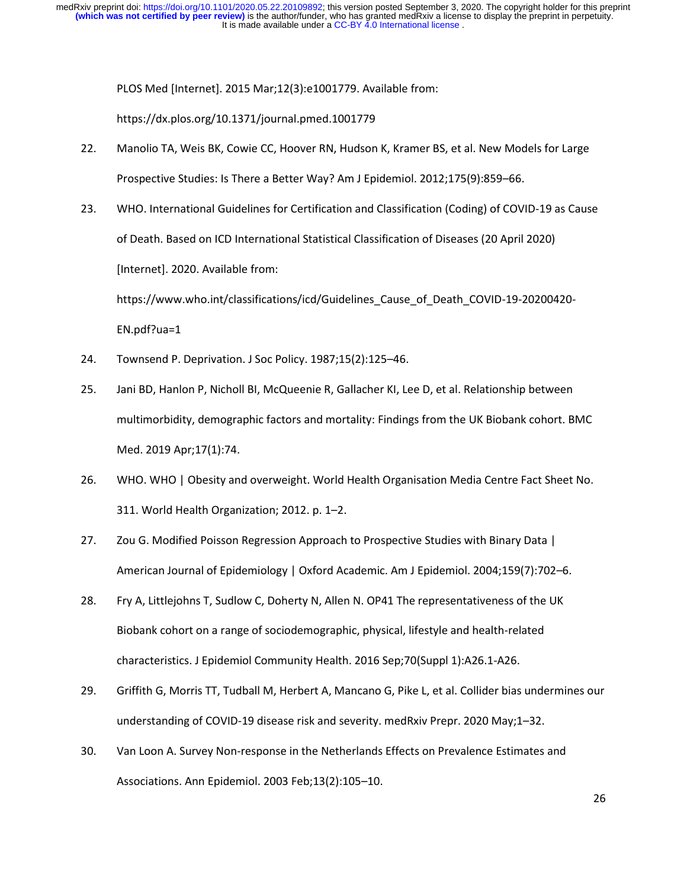It is made available under a CC-BY 4.0 International license. **(which was not certified by peer review)** is the author/funder, who has granted medRxiv a license to display the preprint in perpetuity. medRxiv preprint doi: [https://doi.org/10.1101/2020.05.22.20109892;](https://doi.org/10.1101/2020.05.22.20109892) this version posted September 3, 2020. The copyright holder for this preprint

PLOS Med [Internet]. 2015 Mar;12(3):e1001779. Available from:

https://dx.plos.org/10.1371/journal.pmed.1001779

- 22. Manolio TA, Weis BK, Cowie CC, Hoover RN, Hudson K, Kramer BS, et al. New Models for Large Prospective Studies: Is There a Better Way? Am J Epidemiol. 2012;175(9):859–66.
- 23. WHO. International Guidelines for Certification and Classification (Coding) of COVID-19 as Cause of Death. Based on ICD International Statistical Classification of Diseases (20 April 2020) [Internet]. 2020. Available from:

https://www.who.int/classifications/icd/Guidelines\_Cause\_of\_Death\_COVID-19-20200420- EN.pdf?ua=1

- 24. Townsend P. Deprivation. J Soc Policy. 1987;15(2):125–46.
- 25. Jani BD, Hanlon P, Nicholl BI, McQueenie R, Gallacher KI, Lee D, et al. Relationship between multimorbidity, demographic factors and mortality: Findings from the UK Biobank cohort. BMC Med. 2019 Apr;17(1):74.
- 26. WHO. WHO | Obesity and overweight. World Health Organisation Media Centre Fact Sheet No. 311. World Health Organization; 2012. p. 1–2.
- 27. Zou G. Modified Poisson Regression Approach to Prospective Studies with Binary Data | American Journal of Epidemiology | Oxford Academic. Am J Epidemiol. 2004;159(7):702–6.
- 28. Fry A, Littlejohns T, Sudlow C, Doherty N, Allen N. OP41 The representativeness of the UK Biobank cohort on a range of sociodemographic, physical, lifestyle and health-related characteristics. J Epidemiol Community Health. 2016 Sep;70(Suppl 1):A26.1-A26.
- 29. Griffith G, Morris TT, Tudball M, Herbert A, Mancano G, Pike L, et al. Collider bias undermines our understanding of COVID-19 disease risk and severity. medRxiv Prepr. 2020 May;1–32.
- 30. Van Loon A. Survey Non-response in the Netherlands Effects on Prevalence Estimates and Associations. Ann Epidemiol. 2003 Feb;13(2):105–10.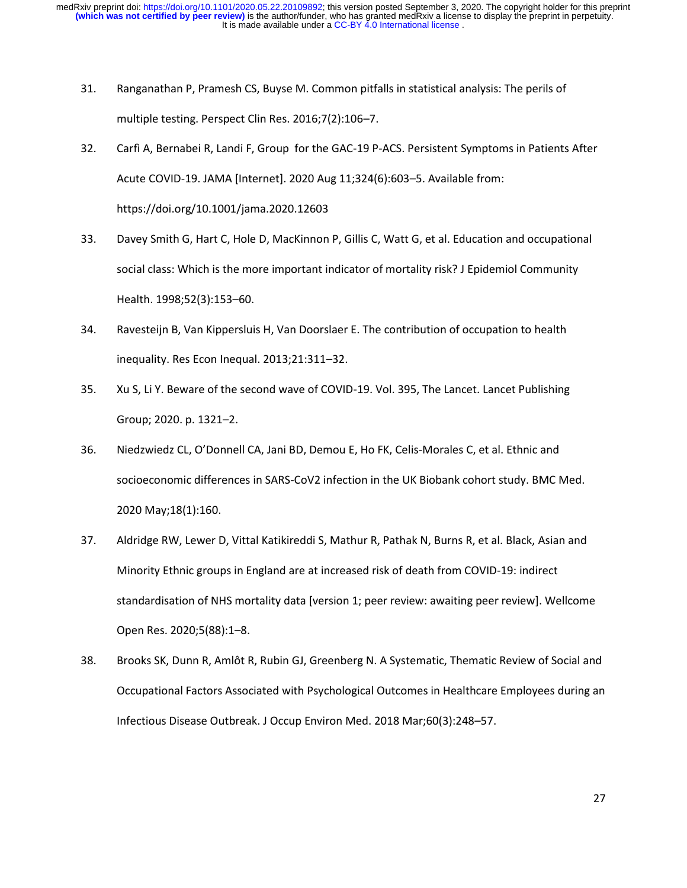- 31. Ranganathan P, Pramesh CS, Buyse M. Common pitfalls in statistical analysis: The perils of multiple testing. Perspect Clin Res. 2016;7(2):106–7.
- 32. Carfì A, Bernabei R, Landi F, Group for the GAC-19 P-ACS. Persistent Symptoms in Patients After Acute COVID-19. JAMA [Internet]. 2020 Aug 11;324(6):603–5. Available from: https://doi.org/10.1001/jama.2020.12603
- 33. Davey Smith G, Hart C, Hole D, MacKinnon P, Gillis C, Watt G, et al. Education and occupational social class: Which is the more important indicator of mortality risk? J Epidemiol Community Health. 1998;52(3):153–60.
- 34. Ravesteijn B, Van Kippersluis H, Van Doorslaer E. The contribution of occupation to health inequality. Res Econ Inequal. 2013;21:311–32.
- 35. Xu S, Li Y. Beware of the second wave of COVID-19. Vol. 395, The Lancet. Lancet Publishing Group; 2020. p. 1321–2.
- 36. Niedzwiedz CL, O'Donnell CA, Jani BD, Demou E, Ho FK, Celis-Morales C, et al. Ethnic and socioeconomic differences in SARS-CoV2 infection in the UK Biobank cohort study. BMC Med. 2020 May;18(1):160.
- 37. Aldridge RW, Lewer D, Vittal Katikireddi S, Mathur R, Pathak N, Burns R, et al. Black, Asian and Minority Ethnic groups in England are at increased risk of death from COVID-19: indirect standardisation of NHS mortality data [version 1; peer review: awaiting peer review]. Wellcome Open Res. 2020;5(88):1–8.
- 38. Brooks SK, Dunn R, Amlôt R, Rubin GJ, Greenberg N. A Systematic, Thematic Review of Social and Occupational Factors Associated with Psychological Outcomes in Healthcare Employees during an Infectious Disease Outbreak. J Occup Environ Med. 2018 Mar;60(3):248–57.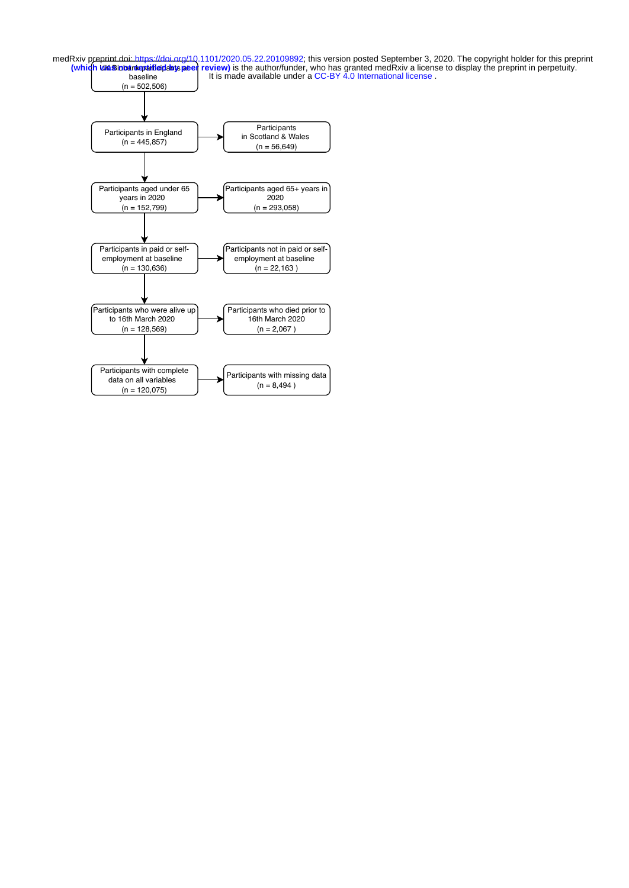**UK Biobank praific plants pe** baseline **Interval and It is made available under a CC-BY 4.0 International license** medRxiv preprint doi: [https://doi.org/10.1101/2020.05.22.20109892;](https://doi.org/10.1101/2020.05.22.20109892) this version posted September 3, 2020. The copyright holder for this preprint<br>Which Wasinbardepaitied dats peer review) is the author/funder, who has grant